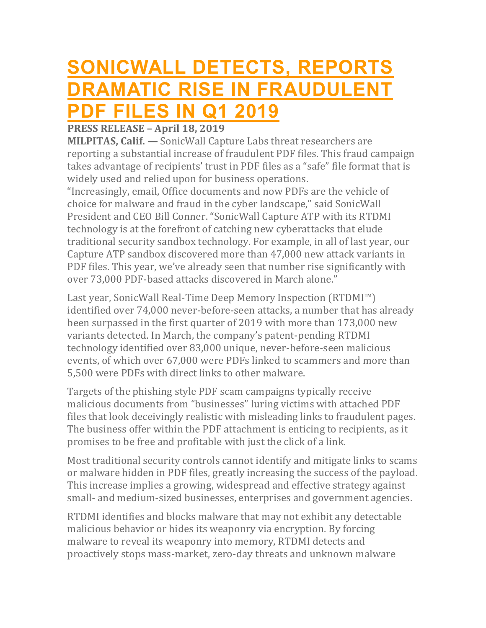## **[SONICWALL](https://www.sonicwall.com/news/sonicwall-detects-reports-dramatic-rise-in-fraudulent-pdf-files-in-q1-2019/) DETECTS, REPORTS DRAMATIC RISE IN FRAUDUL PDF [FILES](https://www.sonicwall.com/news/sonicwall-detects-reports-dramatic-rise-in-fraudulent-pdf-files-in-q1-2019/) IN Q1 2019**

## **PRESS RELEASE – April 18, 2019**

**MILPITAS, Calif. —** SonicWall Capture Labs threat researchers are reporting a substantial increase of fraudulent PDF files. This fraud campaign takes advantage of recipients' trust in PDF files as a "safe" file format that is widely used and relied upon for business operations.

"Increasingly, email, Office documents and now PDFs are the vehicle of choice for malware and fraud in the cyber landscape," said SonicWall President and CEO Bill Conner. "SonicWall Capture ATP with its RTDMI technology is at the forefront of catching new cyberattacks that elude traditional security sandbox technology. For example, in all of last year, our Capture ATP sandbox discovered more than 47,000 new attack variants in PDF files. This year, we've already seen that number rise significantly with over 73,000 PDF-based attacks discovered in March alone."

Last year, SonicWall Real-Time Deep Memory Inspection (RTDMI™) identified over 74,000 never-before-seen attacks, a number that has already been surpassed in the first quarter of 2019 with more than 173,000 new variants detected. In March, the company's patent-pending RTDMI technology identified over 83,000 unique, never-before-seen malicious events, of which over 67,000 were PDFs linked to scammers and more than 5,500 were PDFs with direct links to other malware.

Targets of the phishing style PDF scam campaigns typically receive malicious documents from "businesses" luring victims with attached PDF files that look deceivingly realistic with misleading links to fraudulent pages. The business offer within the PDF attachment is enticing to recipients, as it promises to be free and profitable with just the click of a link.

Most traditional security controls cannot identify and mitigate links to scams or malware hidden in PDF files, greatly increasing the success of the payload. This increase implies a growing, widespread and effective strategy against small- and medium-sized businesses, enterprises and government agencies.

RTDMI identifies and blocks malware that may not exhibit any detectable malicious behavior or hides its weaponry via encryption. By forcing malware to reveal its weaponry into memory, RTDMI detects and proactively stops mass-market, zero-day threats and unknown malware